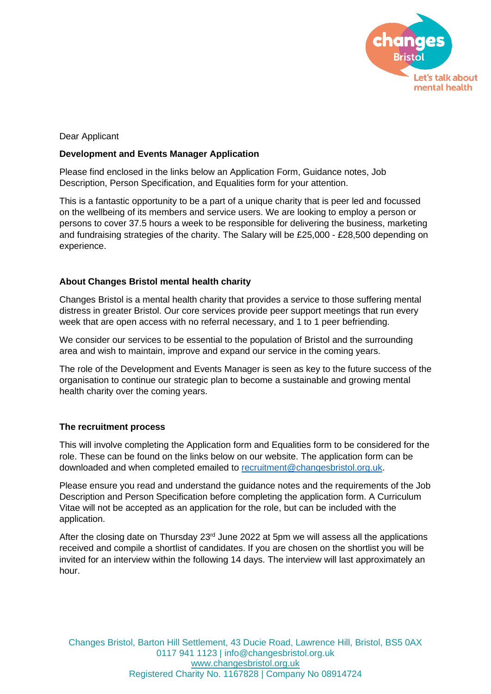

Dear Applicant

## **Development and Events Manager Application**

Please find enclosed in the links below an Application Form, Guidance notes, Job Description, Person Specification, and Equalities form for your attention.

This is a fantastic opportunity to be a part of a unique charity that is peer led and focussed on the wellbeing of its members and service users. We are looking to employ a person or persons to cover 37.5 hours a week to be responsible for delivering the business, marketing and fundraising strategies of the charity. The Salary will be £25,000 - £28,500 depending on experience.

## **About Changes Bristol mental health charity**

Changes Bristol is a mental health charity that provides a service to those suffering mental distress in greater Bristol. Our core services provide peer support meetings that run every week that are open access with no referral necessary, and 1 to 1 peer befriending.

We consider our services to be essential to the population of Bristol and the surrounding area and wish to maintain, improve and expand our service in the coming years.

The role of the Development and Events Manager is seen as key to the future success of the organisation to continue our strategic plan to become a sustainable and growing mental health charity over the coming years.

## **The recruitment process**

This will involve completing the Application form and Equalities form to be considered for the role. These can be found on the links below on our website. The application form can be downloaded and when completed emailed to [recruitment@changesbristol.org.uk.](mailto:recruitment@changesbristol.org.uk)

Please ensure you read and understand the guidance notes and the requirements of the Job Description and Person Specification before completing the application form. A Curriculum Vitae will not be accepted as an application for the role, but can be included with the application.

After the closing date on Thursday  $23<sup>rd</sup>$  June 2022 at 5pm we will assess all the applications received and compile a shortlist of candidates. If you are chosen on the shortlist you will be invited for an interview within the following 14 days. The interview will last approximately an hour.

Changes Bristol, Barton Hill Settlement, 43 Ducie Road, Lawrence Hill, Bristol, BS5 0AX 0117 941 1123 | info@changesbristol.org.uk www.changesbristol.org.uk Registered Charity No. 1167828 | Company No 08914724